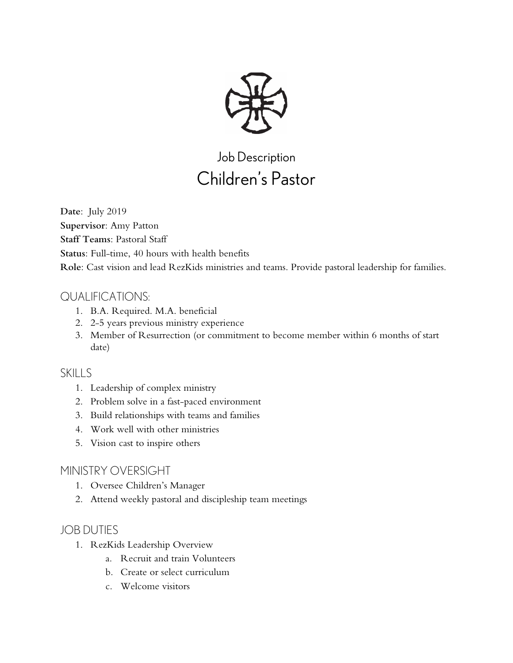

# Job Description Children's Pastor

**Date**: July 2019 **Supervisor**: Amy Patton **Staff Teams**: Pastoral Staff **Status**: Full-time, 40 hours with health benefits **Role**: Cast vision and lead RezKids ministries and teams. Provide pastoral leadership for families.

## QUALIFICATIONS:

- 1. B.A. Required. M.A. beneficial
- 2. 2-5 years previous ministry experience
- 3. Member of Resurrection (or commitment to become member within 6 months of start date)

#### SKILLS

- 1. Leadership of complex ministry
- 2. Problem solve in a fast-paced environment
- 3. Build relationships with teams and families
- 4. Work well with other ministries
- 5. Vision cast to inspire others

### MINISTRY OVERSIGHT

- 1. Oversee Children's Manager
- 2. Attend weekly pastoral and discipleship team meetings

## JOB DUTIES

- 1. RezKids Leadership Overview
	- a. Recruit and train Volunteers
	- b. Create or select curriculum
	- c. Welcome visitors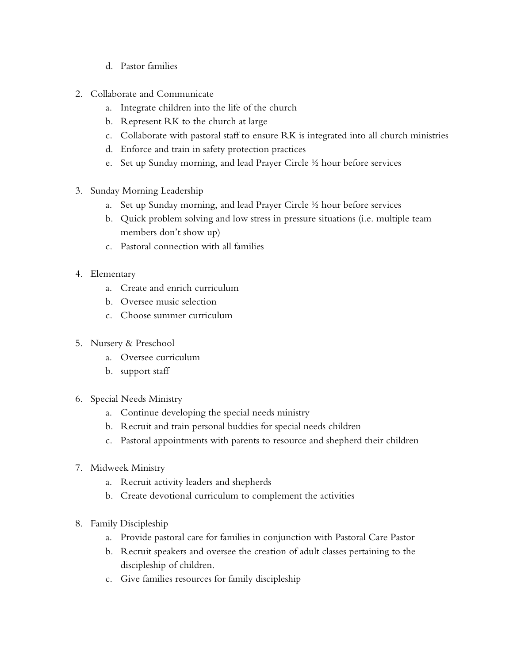- d. Pastor families
- 2. Collaborate and Communicate
	- a. Integrate children into the life of the church
	- b. Represent RK to the church at large
	- c. Collaborate with pastoral staff to ensure RK is integrated into all church ministries
	- d. Enforce and train in safety protection practices
	- e. Set up Sunday morning, and lead Prayer Circle ½ hour before services
- 3. Sunday Morning Leadership
	- a. Set up Sunday morning, and lead Prayer Circle ½ hour before services
	- b. Quick problem solving and low stress in pressure situations (i.e. multiple team members don't show up)
	- c. Pastoral connection with all families
- 4. Elementary
	- a. Create and enrich curriculum
	- b. Oversee music selection
	- c. Choose summer curriculum
- 5. Nursery & Preschool
	- a. Oversee curriculum
	- b. support staff
- 6. Special Needs Ministry
	- a. Continue developing the special needs ministry
	- b. Recruit and train personal buddies for special needs children
	- c. Pastoral appointments with parents to resource and shepherd their children
- 7. Midweek Ministry
	- a. Recruit activity leaders and shepherds
	- b. Create devotional curriculum to complement the activities
- 8. Family Discipleship
	- a. Provide pastoral care for families in conjunction with Pastoral Care Pastor
	- b. Recruit speakers and oversee the creation of adult classes pertaining to the discipleship of children.
	- c. Give families resources for family discipleship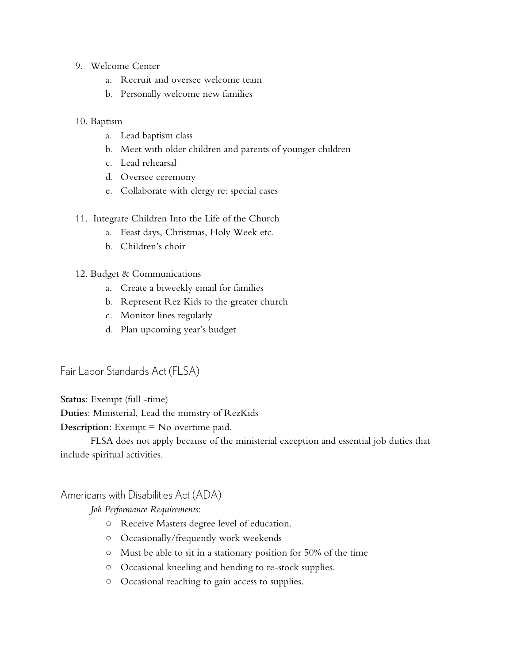- 9. Welcome Center
	- a. Recruit and oversee welcome team
	- b. Personally welcome new families

#### 10. Baptism

- a. Lead baptism class
- b. Meet with older children and parents of younger children
- c. Lead rehearsal
- d. Oversee ceremony
- e. Collaborate with clergy re: special cases
- 11. Integrate Children Into the Life of the Church
	- a. Feast days, Christmas, Holy Week etc.
	- b. Children's choir
- 12. Budget & Communications
	- a. Create a biweekly email for families
	- b. Represent Rez Kids to the greater church
	- c. Monitor lines regularly
	- d. Plan upcoming year's budget

Fair Labor Standards Act (FLSA)

**Status**: Exempt (full -time)

**Duties**: Ministerial, Lead the ministry of RezKids

**Description**: Exempt = No overtime paid.

FLSA does not apply because of the ministerial exception and essential job duties that include spiritual activities.

#### Americans with Disabilities Act (ADA)

*Job Performance Requirements*:

- Receive Masters degree level of education.
- Occasionally/frequently work weekends
- Must be able to sit in a stationary position for 50% of the time
- Occasional kneeling and bending to re-stock supplies.
- Occasional reaching to gain access to supplies.